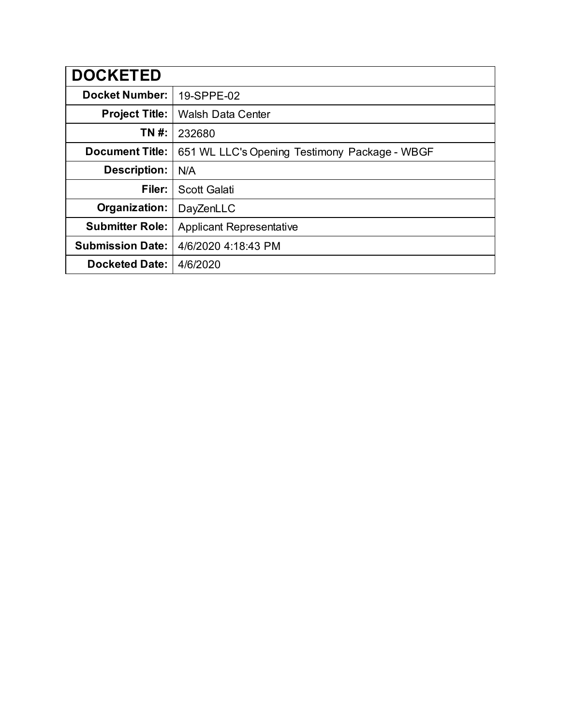| <b>DOCKETED</b>         |                                               |
|-------------------------|-----------------------------------------------|
| <b>Docket Number:</b>   | 19-SPPE-02                                    |
| <b>Project Title:</b>   | <b>Walsh Data Center</b>                      |
| TN #:                   | 232680                                        |
| <b>Document Title:</b>  | 651 WL LLC's Opening Testimony Package - WBGF |
| <b>Description:</b>     | N/A                                           |
| Filer:                  | <b>Scott Galati</b>                           |
| Organization:           | DayZenLLC                                     |
| <b>Submitter Role:</b>  | <b>Applicant Representative</b>               |
| <b>Submission Date:</b> | 4/6/2020 4:18:43 PM                           |
| <b>Docketed Date:</b>   | 4/6/2020                                      |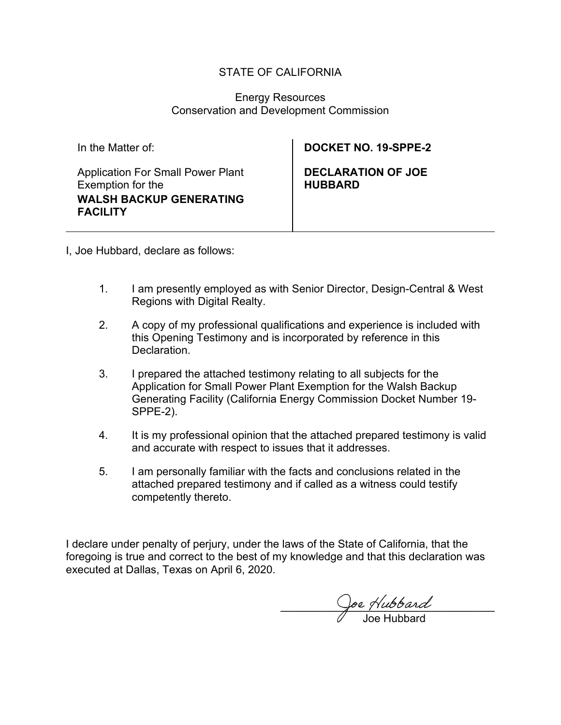#### STATE OF CALIFORNIA

#### Energy Resources Conservation and Development Commission

Application For Small Power Plant Exemption for the **WALSH BACKUP GENERATING FACILITY**

# In the Matter of: **DOCKET NO. 19-SPPE-2**

**DECLARATION OF JOE HUBBARD**

I, Joe Hubbard, declare as follows:

- 1. I am presently employed as with Senior Director, Design-Central & West Regions with Digital Realty.
- 2. A copy of my professional qualifications and experience is included with this Opening Testimony and is incorporated by reference in this Declaration.
- 3. I prepared the attached testimony relating to all subjects for the Application for Small Power Plant Exemption for the Walsh Backup Generating Facility (California Energy Commission Docket Number 19- SPPE-2).
- 4. It is my professional opinion that the attached prepared testimony is valid and accurate with respect to issues that it addresses.
- 5. I am personally familiar with the facts and conclusions related in the attached prepared testimony and if called as a witness could testify competently thereto.

I declare under penalty of perjury, under the laws of the State of California, that the foregoing is true and correct to the best of my knowledge and that this declaration was executed at Dallas, Texas on April 6, 2020.

 $\cup$ pe Hubbard Joe Hubbard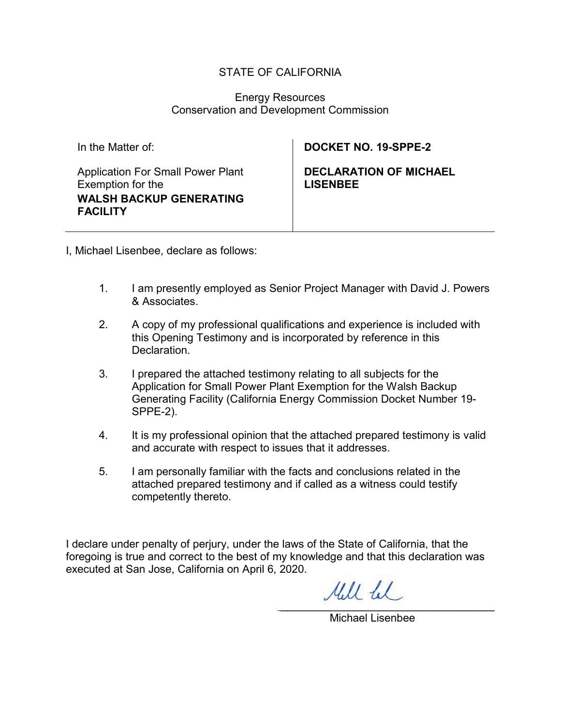#### STATE OF CALIFORNIA

#### Energy Resources Conservation and Development Commission

| In the Matter of:                                                                                                  | <b>DOCKET NO. 19-SPPE-2</b>                      |
|--------------------------------------------------------------------------------------------------------------------|--------------------------------------------------|
| <b>Application For Small Power Plant</b><br>Exemption for the<br><b>WALSH BACKUP GENERATING</b><br><b>FACILITY</b> | <b>DECLARATION OF MICHAEL</b><br><u>LISENBEE</u> |

I, Michael Lisenbee, declare as follows:

- 1. I am presently employed as Senior Project Manager with David J. Powers & Associates.
- 2. A copy of my professional qualifications and experience is included with this Opening Testimony and is incorporated by reference in this **Declaration**
- 3. I prepared the attached testimony relating to all subjects for the Application for Small Power Plant Exemption for the Walsh Backup Generating Facility (California Energy Commission Docket Number 19- SPPE-2).
- 4. It is my professional opinion that the attached prepared testimony is valid and accurate with respect to issues that it addresses.
- 5. I am personally familiar with the facts and conclusions related in the attached prepared testimony and if called as a witness could testify competently thereto.

I declare under penalty of perjury, under the laws of the State of California, that the foregoing is true and correct to the best of my knowledge and that this declaration was executed at San Jose, California on April 6, 2020.

Mill fel  $\mathcal{L}_\text{max}$  , we have the contract of  $\mathcal{L}_\text{max}$ 

Michael Lisenbee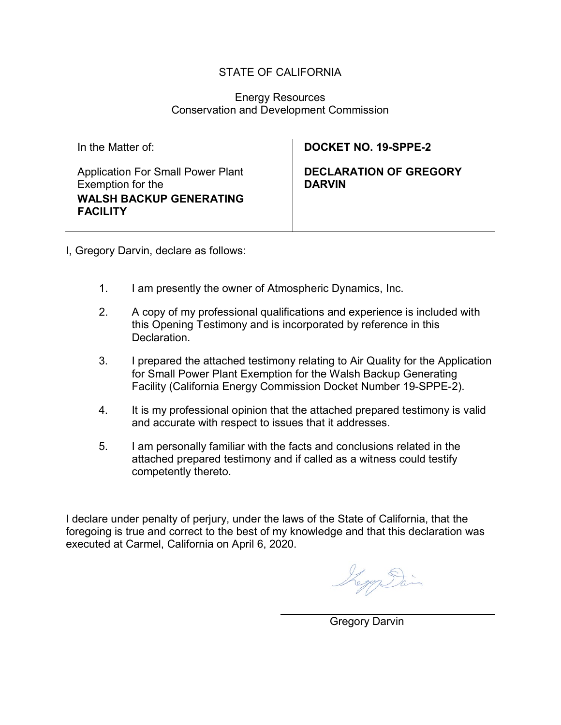#### STATE OF CALIFORNIA

#### Energy Resources Conservation and Development Commission

Application For Small Power Plant Exemption for the **WALSH BACKUP GENERATING FACILITY**

### In the Matter of: **DOCKET NO. 19-SPPE-2**

**DECLARATION OF GREGORY DARVIN**

I, Gregory Darvin, declare as follows:

- 1. I am presently the owner of Atmospheric Dynamics, Inc.
- 2. A copy of my professional qualifications and experience is included with this Opening Testimony and is incorporated by reference in this Declaration.
- 3. I prepared the attached testimony relating to Air Quality for the Application for Small Power Plant Exemption for the Walsh Backup Generating Facility (California Energy Commission Docket Number 19-SPPE-2).
- 4. It is my professional opinion that the attached prepared testimony is valid and accurate with respect to issues that it addresses.
- 5. I am personally familiar with the facts and conclusions related in the attached prepared testimony and if called as a witness could testify competently thereto.

I declare under penalty of perjury, under the laws of the State of California, that the foregoing is true and correct to the best of my knowledge and that this declaration was executed at Carmel, California on April 6, 2020.

Logy Sai

 $\overline{\phantom{a}}$  , which is a set of the set of the set of the set of the set of the set of the set of the set of the set of the set of the set of the set of the set of the set of the set of the set of the set of the set of th Gregory Darvin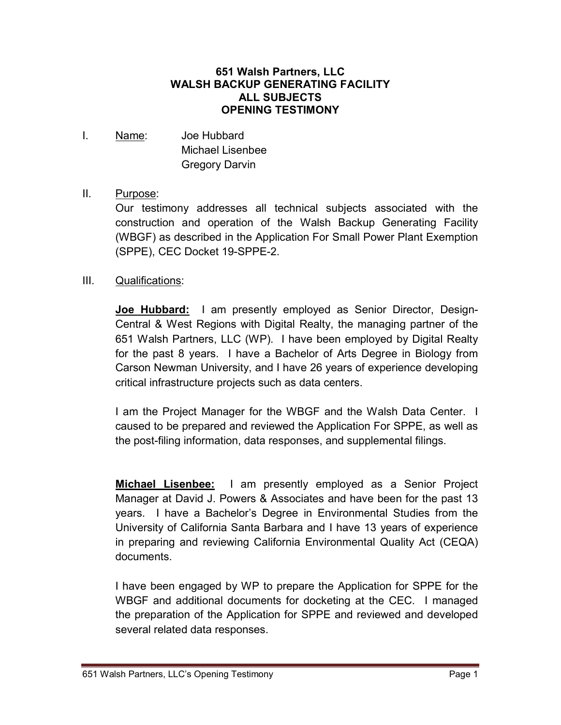#### **651 Walsh Partners, LLC WALSH BACKUP GENERATING FACILITY ALL SUBJECTS OPENING TESTIMONY**

I. Name: Joe Hubbard Michael Lisenbee Gregory Darvin

### II. Purpose:

Our testimony addresses all technical subjects associated with the construction and operation of the Walsh Backup Generating Facility (WBGF) as described in the Application For Small Power Plant Exemption (SPPE), CEC Docket 19-SPPE-2.

#### III. Qualifications:

**Joe Hubbard:** I am presently employed as Senior Director, Design-Central & West Regions with Digital Realty, the managing partner of the 651 Walsh Partners, LLC (WP). I have been employed by Digital Realty for the past 8 years. I have a Bachelor of Arts Degree in Biology from Carson Newman University, and I have 26 years of experience developing critical infrastructure projects such as data centers.

I am the Project Manager for the WBGF and the Walsh Data Center. I caused to be prepared and reviewed the Application For SPPE, as well as the post-filing information, data responses, and supplemental filings.

**Michael Lisenbee:** I am presently employed as a Senior Project Manager at David J. Powers & Associates and have been for the past 13 years. I have a Bachelor's Degree in Environmental Studies from the University of California Santa Barbara and I have 13 years of experience in preparing and reviewing California Environmental Quality Act (CEQA) documents.

I have been engaged by WP to prepare the Application for SPPE for the WBGF and additional documents for docketing at the CEC. I managed the preparation of the Application for SPPE and reviewed and developed several related data responses.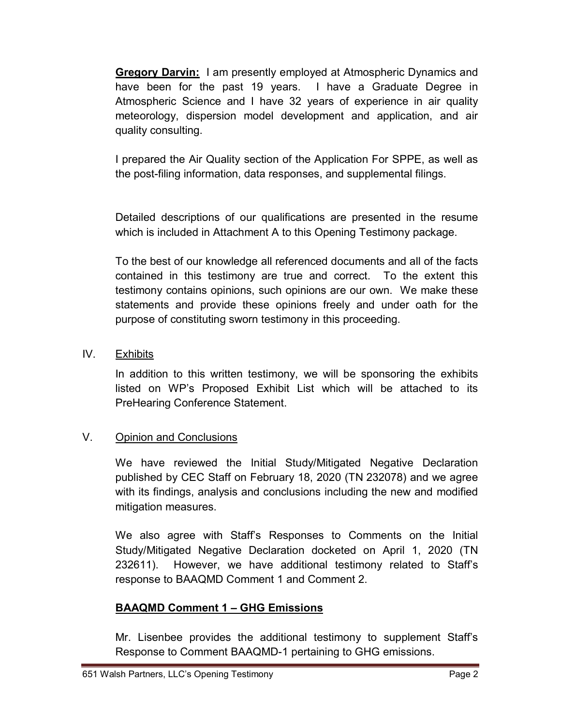**Gregory Darvin:** I am presently employed at Atmospheric Dynamics and have been for the past 19 years. I have a Graduate Degree in Atmospheric Science and I have 32 years of experience in air quality meteorology, dispersion model development and application, and air quality consulting.

I prepared the Air Quality section of the Application For SPPE, as well as the post-filing information, data responses, and supplemental filings.

Detailed descriptions of our qualifications are presented in the resume which is included in Attachment A to this Opening Testimony package.

To the best of our knowledge all referenced documents and all of the facts contained in this testimony are true and correct. To the extent this testimony contains opinions, such opinions are our own. We make these statements and provide these opinions freely and under oath for the purpose of constituting sworn testimony in this proceeding.

#### IV. Exhibits

In addition to this written testimony, we will be sponsoring the exhibits listed on WP's Proposed Exhibit List which will be attached to its PreHearing Conference Statement.

# V. Opinion and Conclusions

We have reviewed the Initial Study/Mitigated Negative Declaration published by CEC Staff on February 18, 2020 (TN 232078) and we agree with its findings, analysis and conclusions including the new and modified mitigation measures.

We also agree with Staff's Responses to Comments on the Initial Study/Mitigated Negative Declaration docketed on April 1, 2020 (TN 232611). However, we have additional testimony related to Staff's response to BAAQMD Comment 1 and Comment 2.

# **BAAQMD Comment 1 – GHG Emissions**

Mr. Lisenbee provides the additional testimony to supplement Staff's Response to Comment BAAQMD-1 pertaining to GHG emissions.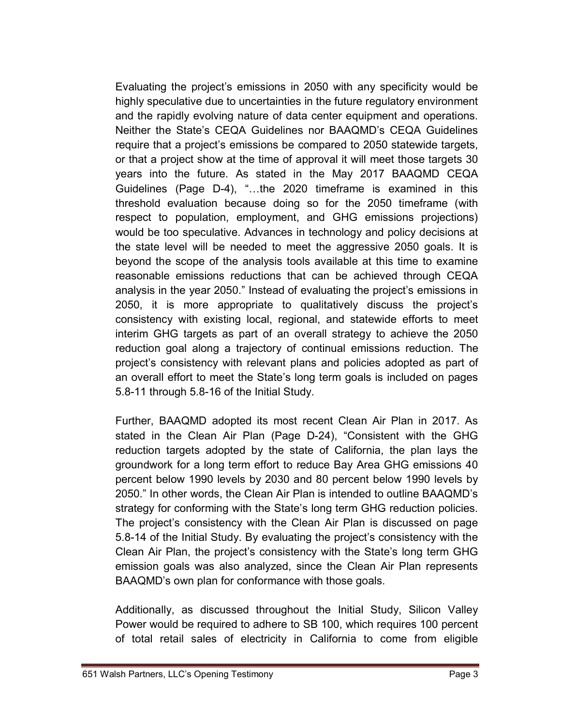Evaluating the project's emissions in 2050 with any specificity would be highly speculative due to uncertainties in the future regulatory environment and the rapidly evolving nature of data center equipment and operations. Neither the State's CEQA Guidelines nor BAAQMD's CEQA Guidelines require that a project's emissions be compared to 2050 statewide targets, or that a project show at the time of approval it will meet those targets 30 years into the future. As stated in the May 2017 BAAQMD CEQA Guidelines (Page D-4), "…the 2020 timeframe is examined in this threshold evaluation because doing so for the 2050 timeframe (with respect to population, employment, and GHG emissions projections) would be too speculative. Advances in technology and policy decisions at the state level will be needed to meet the aggressive 2050 goals. It is beyond the scope of the analysis tools available at this time to examine reasonable emissions reductions that can be achieved through CEQA analysis in the year 2050." Instead of evaluating the project's emissions in 2050, it is more appropriate to qualitatively discuss the project's consistency with existing local, regional, and statewide efforts to meet interim GHG targets as part of an overall strategy to achieve the 2050 reduction goal along a trajectory of continual emissions reduction. The project's consistency with relevant plans and policies adopted as part of an overall effort to meet the State's long term goals is included on pages 5.8-11 through 5.8-16 of the Initial Study.

Further, BAAQMD adopted its most recent Clean Air Plan in 2017. As stated in the Clean Air Plan (Page D-24), "Consistent with the GHG reduction targets adopted by the state of California, the plan lays the groundwork for a long term effort to reduce Bay Area GHG emissions 40 percent below 1990 levels by 2030 and 80 percent below 1990 levels by 2050." In other words, the Clean Air Plan is intended to outline BAAQMD's strategy for conforming with the State's long term GHG reduction policies. The project's consistency with the Clean Air Plan is discussed on page 5.8-14 of the Initial Study. By evaluating the project's consistency with the Clean Air Plan, the project's consistency with the State's long term GHG emission goals was also analyzed, since the Clean Air Plan represents BAAQMD's own plan for conformance with those goals.

Additionally, as discussed throughout the Initial Study, Silicon Valley Power would be required to adhere to SB 100, which requires 100 percent of total retail sales of electricity in California to come from eligible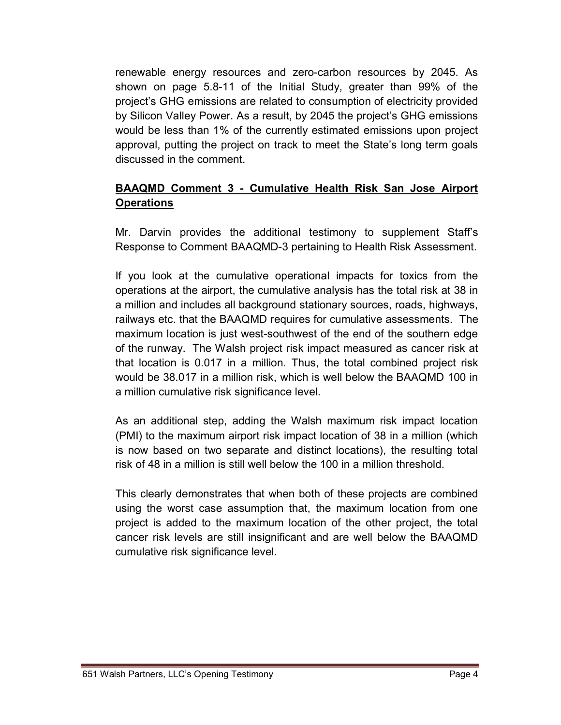renewable energy resources and zero-carbon resources by 2045. As shown on page 5.8-11 of the Initial Study, greater than 99% of the project's GHG emissions are related to consumption of electricity provided by Silicon Valley Power. As a result, by 2045 the project's GHG emissions would be less than 1% of the currently estimated emissions upon project approval, putting the project on track to meet the State's long term goals discussed in the comment.

# **BAAQMD Comment 3 - Cumulative Health Risk San Jose Airport Operations**

Mr. Darvin provides the additional testimony to supplement Staff's Response to Comment BAAQMD-3 pertaining to Health Risk Assessment.

If you look at the cumulative operational impacts for toxics from the operations at the airport, the cumulative analysis has the total risk at 38 in a million and includes all background stationary sources, roads, highways, railways etc. that the BAAQMD requires for cumulative assessments. The maximum location is just west-southwest of the end of the southern edge of the runway. The Walsh project risk impact measured as cancer risk at that location is 0.017 in a million. Thus, the total combined project risk would be 38.017 in a million risk, which is well below the BAAQMD 100 in a million cumulative risk significance level.

As an additional step, adding the Walsh maximum risk impact location (PMI) to the maximum airport risk impact location of 38 in a million (which is now based on two separate and distinct locations), the resulting total risk of 48 in a million is still well below the 100 in a million threshold.

This clearly demonstrates that when both of these projects are combined using the worst case assumption that, the maximum location from one project is added to the maximum location of the other project, the total cancer risk levels are still insignificant and are well below the BAAQMD cumulative risk significance level.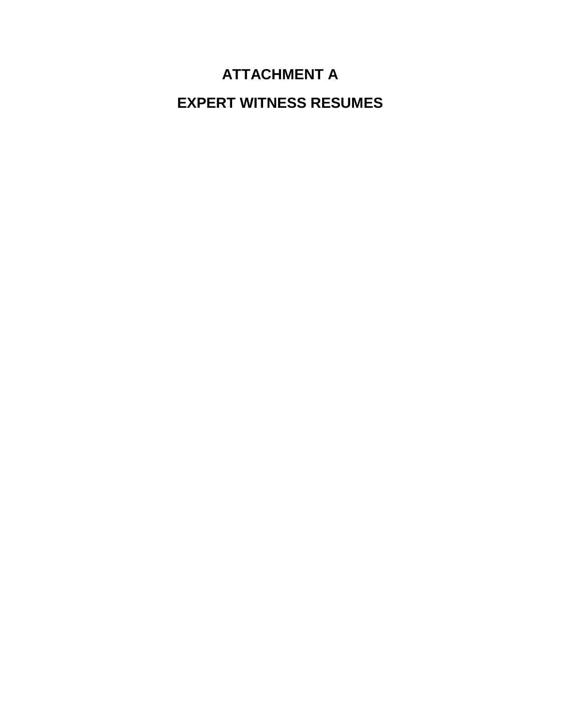# **ATTACHMENT A**

**EXPERT WITNESS RESUMES**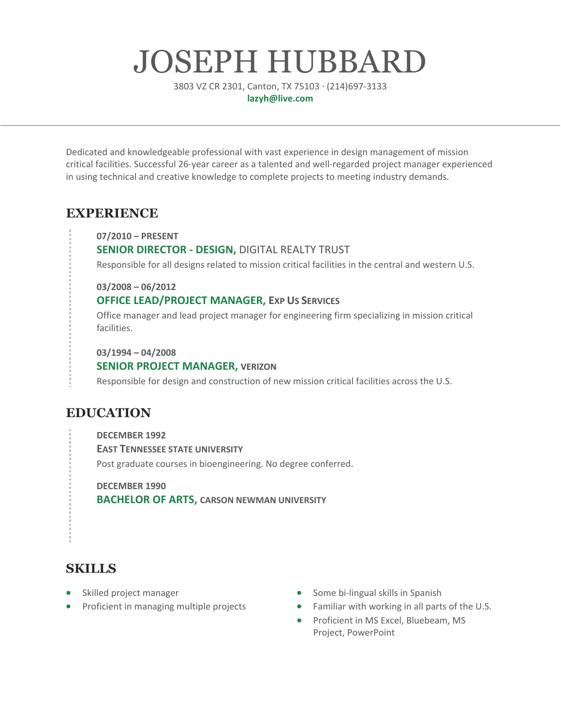# JOSEPH HUBBARD

3803 VZ CR 2301, Canton, TX 75103 · (214)697-3133 **lazyh@live.com**

Dedicated and knowledgeable professional with vast experience in design management of mission critical facilities. Successful 26-year career as a talented and well-regarded project manager experienced in using technical and creative knowledge to complete projects to meeting industry demands.

# **EXPERIENCE**

**07/2010 – PRESENT**

#### **SENIOR DIRECTOR - DESIGN,** DIGITAL REALTY TRUST

Responsible for all designs related to mission critical facilities in the central and western U.S.

**03/2008 – 06/2012**

#### **OFFICE LEAD/PROJECT MANAGER, EXP US SERVICES**

Office manager and lead project manager for engineering firm specializing in mission critical facilities.

**03/1994 – 04/2008**

#### **SENIOR PROJECT MANAGER, VERIZON**

Responsible for design and construction of new mission critical facilities across the U.S.

# **EDUCATION**

**DECEMBER 1992 EAST TENNESSEE STATE UNIVERSITY** Post graduate courses in bioengineering. No degree conferred.

**DECEMBER 1990 BACHELOR OF ARTS, CARSON NEWMAN UNIVERSITY**

# **SKILLS**

- Skilled project manager
- Proficient in managing multiple projects
- Some bi-lingual skills in Spanish
- Familiar with working in all parts of the U.S.
- Proficient in MS Excel, Bluebeam, MS Project, PowerPoint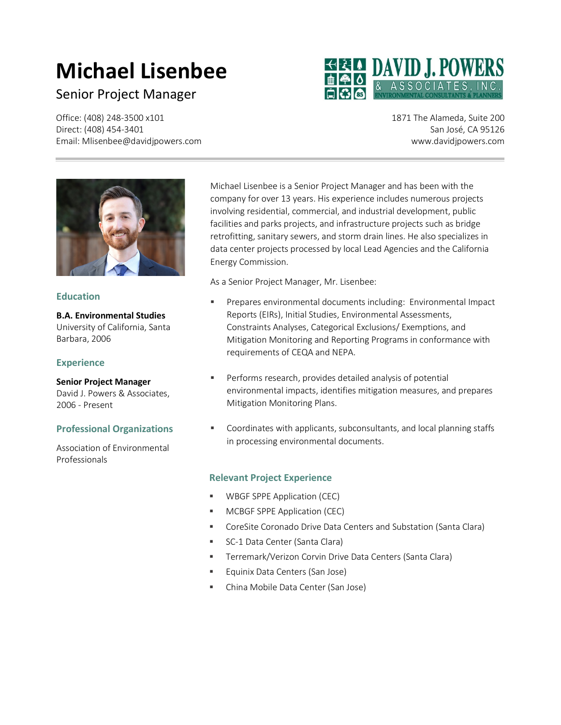# **Michael Lisenbee**

# Senior Project Manager

Office: (408) 248-3500 x101 Direct: (408) 454-3401 Email: Mlisenbee@davidjpowers.com



1871 The Alameda, Suite 200 San José, CA 95126 www.davidjpowers.com



#### **Education**

**B.A. Environmental Studies** University of California, Santa Barbara, 2006

#### **Experience**

**Senior Project Manager** David J. Powers & Associates,

2006 - Present

#### **Professional Organizations**

Association of Environmental Professionals

Michael Lisenbee is a Senior Project Manager and has been with the company for over 13 years. His experience includes numerous projects involving residential, commercial, and industrial development, public facilities and parks projects, and infrastructure projects such as bridge retrofitting, sanitary sewers, and storm drain lines. He also specializes in data center projects processed by local Lead Agencies and the California Energy Commission.

As a Senior Project Manager, Mr. Lisenbee:

- Prepares environmental documents including: Environmental Impact Reports (EIRs), Initial Studies, Environmental Assessments, Constraints Analyses, Categorical Exclusions/ Exemptions, and Mitigation Monitoring and Reporting Programs in conformance with requirements of CEQA and NEPA.
- Performs research, provides detailed analysis of potential environmental impacts, identifies mitigation measures, and prepares Mitigation Monitoring Plans.
- Coordinates with applicants, subconsultants, and local planning staffs in processing environmental documents.

#### **Relevant Project Experience**

- WBGF SPPE Application (CEC)
- **MCBGF SPPE Application (CEC)**
- CoreSite Coronado Drive Data Centers and Substation (Santa Clara)
- **SC-1 Data Center (Santa Clara)**
- Terremark/Verizon Corvin Drive Data Centers (Santa Clara)
- **Equinix Data Centers (San Jose)**
- China Mobile Data Center (San Jose)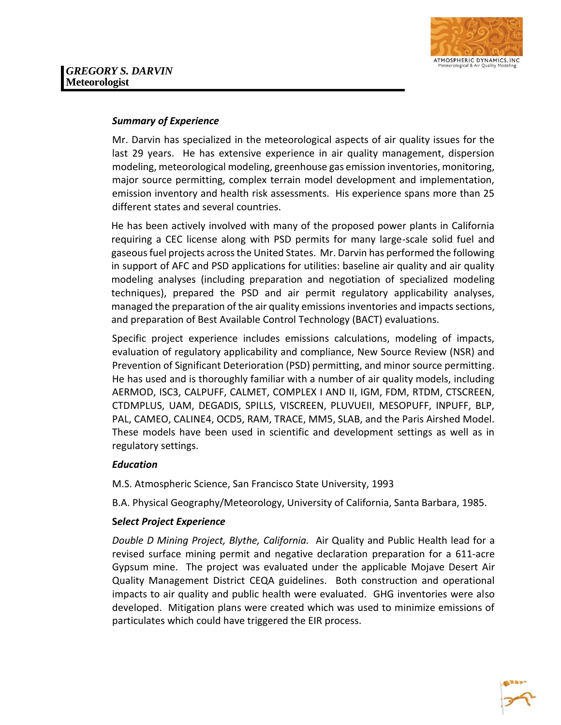

#### *Summary of Experience*

Mr. Darvin has specialized in the meteorological aspects of air quality issues for the last 29 years. He has extensive experience in air quality management, dispersion modeling, meteorological modeling, greenhouse gas emission inventories, monitoring, major source permitting, complex terrain model development and implementation, emission inventory and health risk assessments. His experience spans more than 25 different states and several countries.

He has been actively involved with many of the proposed power plants in California requiring a CEC license along with PSD permits for many large-scale solid fuel and gaseous fuel projects across the United States. Mr. Darvin has performed the following in support of AFC and PSD applications for utilities: baseline air quality and air quality modeling analyses (including preparation and negotiation of specialized modeling techniques), prepared the PSD and air permit regulatory applicability analyses, managed the preparation of the air quality emissions inventories and impacts sections, and preparation of Best Available Control Technology (BACT) evaluations.

Specific project experience includes emissions calculations, modeling of impacts, evaluation of regulatory applicability and compliance, New Source Review (NSR) and Prevention of Significant Deterioration (PSD) permitting, and minor source permitting. He has used and is thoroughly familiar with a number of air quality models, including AERMOD, ISC3, CALPUFF, CALMET, COMPLEX I AND II, IGM, FDM, RTDM, CTSCREEN, CTDMPLUS, UAM, DEGADIS, SPILLS, VISCREEN, PLUVUEII, MESOPUFF, INPUFF, BLP, PAL, CAMEO, CALINE4, OCD5, RAM, TRACE, MM5, SLAB, and the Paris Airshed Model. These models have been used in scientific and development settings as well as in regulatory settings.

#### *Education*

M.S. Atmospheric Science, San Francisco State University, 1993

B.A. Physical Geography/Meteorology, University of California, Santa Barbara, 1985.

#### **S***elect Project Experience*

*Double D Mining Project, Blythe, California.* Air Quality and Public Health lead for a revised surface mining permit and negative declaration preparation for a 611-acre Gypsum mine. The project was evaluated under the applicable Mojave Desert Air Quality Management District CEQA guidelines. Both construction and operational impacts to air quality and public health were evaluated. GHG inventories were also developed. Mitigation plans were created which was used to minimize emissions of particulates which could have triggered the EIR process.

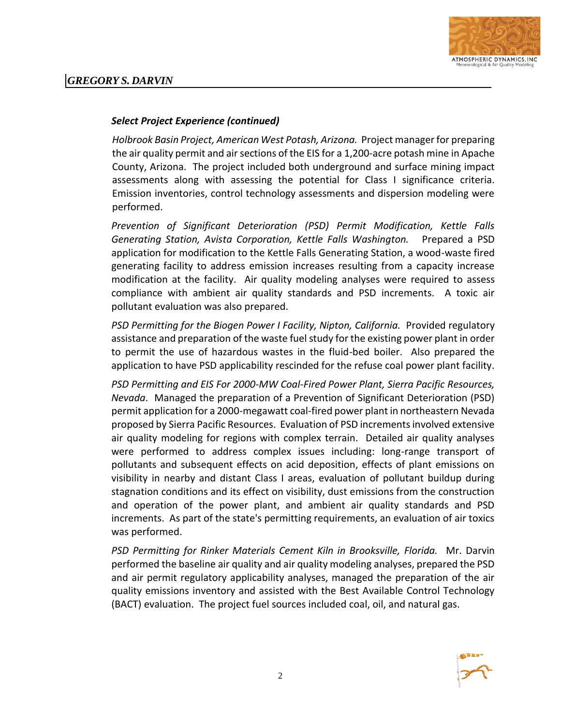

#### *Select Project Experience (continued)*

*Holbrook Basin Project, American West Potash, Arizona.* Project manager for preparing the air quality permit and air sections of the EIS for a 1,200-acre potash mine in Apache County, Arizona. The project included both underground and surface mining impact assessments along with assessing the potential for Class I significance criteria. Emission inventories, control technology assessments and dispersion modeling were performed.

*Prevention of Significant Deterioration (PSD) Permit Modification, Kettle Falls Generating Station, Avista Corporation, Kettle Falls Washington.* Prepared a PSD application for modification to the Kettle Falls Generating Station, a wood-waste fired generating facility to address emission increases resulting from a capacity increase modification at the facility. Air quality modeling analyses were required to assess compliance with ambient air quality standards and PSD increments. A toxic air pollutant evaluation was also prepared.

*PSD Permitting for the Biogen Power I Facility, Nipton, California.* Provided regulatory assistance and preparation of the waste fuel study for the existing power plant in order to permit the use of hazardous wastes in the fluid-bed boiler. Also prepared the application to have PSD applicability rescinded for the refuse coal power plant facility.

*PSD Permitting and EIS For 2000-MW Coal-Fired Power Plant, Sierra Pacific Resources, Nevada*. Managed the preparation of a Prevention of Significant Deterioration (PSD) permit application for a 2000-megawatt coal-fired power plant in northeastern Nevada proposed by Sierra Pacific Resources. Evaluation of PSD increments involved extensive air quality modeling for regions with complex terrain. Detailed air quality analyses were performed to address complex issues including: long-range transport of pollutants and subsequent effects on acid deposition, effects of plant emissions on visibility in nearby and distant Class I areas, evaluation of pollutant buildup during stagnation conditions and its effect on visibility, dust emissions from the construction and operation of the power plant, and ambient air quality standards and PSD increments. As part of the state's permitting requirements, an evaluation of air toxics was performed.

*PSD Permitting for Rinker Materials Cement Kiln in Brooksville, Florida.* Mr. Darvin performed the baseline air quality and air quality modeling analyses, prepared the PSD and air permit regulatory applicability analyses, managed the preparation of the air quality emissions inventory and assisted with the Best Available Control Technology (BACT) evaluation. The project fuel sources included coal, oil, and natural gas.

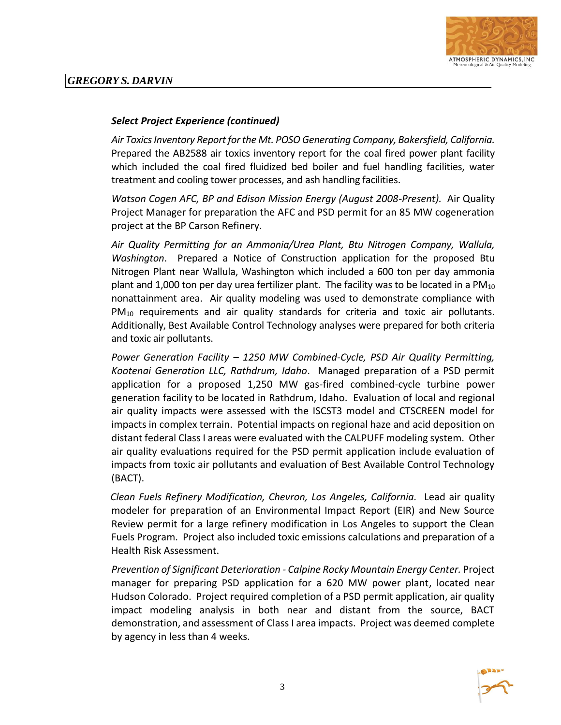

#### *Select Project Experience (continued)*

*Air Toxics Inventory Report for the Mt. POSO Generating Company, Bakersfield, California.*  Prepared the AB2588 air toxics inventory report for the coal fired power plant facility which included the coal fired fluidized bed boiler and fuel handling facilities, water treatment and cooling tower processes, and ash handling facilities.

*Watson Cogen AFC, BP and Edison Mission Energy (August 2008-Present).* Air Quality Project Manager for preparation the AFC and PSD permit for an 85 MW cogeneration project at the BP Carson Refinery.

*Air Quality Permitting for an Ammonia/Urea Plant, Btu Nitrogen Company, Wallula, Washington*. Prepared a Notice of Construction application for the proposed Btu Nitrogen Plant near Wallula, Washington which included a 600 ton per day ammonia plant and 1,000 ton per day urea fertilizer plant. The facility was to be located in a  $PM_{10}$ nonattainment area. Air quality modeling was used to demonstrate compliance with PM<sub>10</sub> requirements and air quality standards for criteria and toxic air pollutants. Additionally, Best Available Control Technology analyses were prepared for both criteria and toxic air pollutants.

*Power Generation Facility – 1250 MW Combined-Cycle, PSD Air Quality Permitting, Kootenai Generation LLC, Rathdrum, Idaho*. Managed preparation of a PSD permit application for a proposed 1,250 MW gas-fired combined-cycle turbine power generation facility to be located in Rathdrum, Idaho. Evaluation of local and regional air quality impacts were assessed with the ISCST3 model and CTSCREEN model for impacts in complex terrain. Potential impacts on regional haze and acid deposition on distant federal Class I areas were evaluated with the CALPUFF modeling system. Other air quality evaluations required for the PSD permit application include evaluation of impacts from toxic air pollutants and evaluation of Best Available Control Technology (BACT).

*Clean Fuels Refinery Modification, Chevron, Los Angeles, California.* Lead air quality modeler for preparation of an Environmental Impact Report (EIR) and New Source Review permit for a large refinery modification in Los Angeles to support the Clean Fuels Program. Project also included toxic emissions calculations and preparation of a Health Risk Assessment.

*Prevention of Significant Deterioration - Calpine Rocky Mountain Energy Center.* Project manager for preparing PSD application for a 620 MW power plant, located near Hudson Colorado. Project required completion of a PSD permit application, air quality impact modeling analysis in both near and distant from the source, BACT demonstration, and assessment of Class I area impacts. Project was deemed complete by agency in less than 4 weeks.